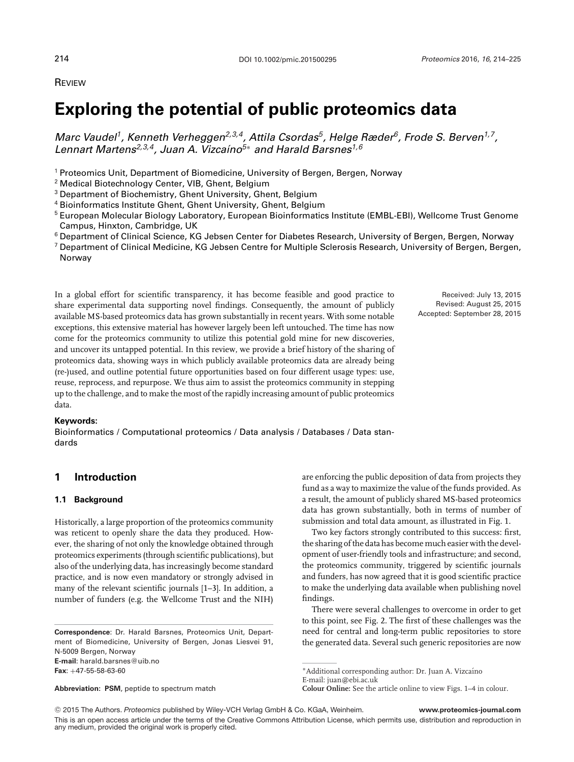# REVIEW

# **Exploring the potential of public proteomics data**

*Marc Vaudel<sup>1</sup>, Kenneth Verheggen<sup>2,3,4</sup>, Attila Csordas<sup>5</sup>, Helge Ræder<sup>6</sup>, Frode S. Berven<sup>1,7</sup>, Lennart Martens2,3,4, Juan A. Vizca´ıno5*<sup>∗</sup> *and Harald Barsnes1,6*

<sup>1</sup> Proteomics Unit, Department of Biomedicine, University of Bergen, Bergen, Norway

<sup>2</sup> Medical Biotechnology Center, VIB, Ghent, Belgium

<sup>3</sup> Department of Biochemistry, Ghent University, Ghent, Belgium

<sup>4</sup> Bioinformatics Institute Ghent, Ghent University, Ghent, Belgium

- <sup>5</sup> European Molecular Biology Laboratory, European Bioinformatics Institute (EMBL-EBI), Wellcome Trust Genome Campus, Hinxton, Cambridge, UK
- <sup>6</sup> Department of Clinical Science, KG Jebsen Center for Diabetes Research, University of Bergen, Bergen, Norway
- <sup>7</sup> Department of Clinical Medicine, KG Jebsen Centre for Multiple Sclerosis Research, University of Bergen, Bergen, Norway

In a global effort for scientific transparency, it has become feasible and good practice to share experimental data supporting novel findings. Consequently, the amount of publicly available MS-based proteomics data has grown substantially in recent years. With some notable exceptions, this extensive material has however largely been left untouched. The time has now come for the proteomics community to utilize this potential gold mine for new discoveries, and uncover its untapped potential. In this review, we provide a brief history of the sharing of proteomics data, showing ways in which publicly available proteomics data are already being (re-)used, and outline potential future opportunities based on four different usage types: use, reuse, reprocess, and repurpose. We thus aim to assist the proteomics community in stepping up to the challenge, and to make the most of the rapidly increasing amount of public proteomics data.

#### **Keywords:**

Bioinformatics / Computational proteomics / Data analysis / Databases / Data standards

# **1 Introduction**

#### **1.1 Background**

Historically, a large proportion of the proteomics community was reticent to openly share the data they produced. However, the sharing of not only the knowledge obtained through proteomics experiments (through scientific publications), but also of the underlying data, has increasingly become standard practice, and is now even mandatory or strongly advised in many of the relevant scientific journals [1–3]. In addition, a number of funders (e.g. the Wellcome Trust and the NIH)

**Correspondence**: Dr. Harald Barsnes, Proteomics Unit, Department of Biomedicine, University of Bergen, Jonas Liesvei 91, N-5009 Bergen, Norway **E-mail**: harald.barsnes@uib.no **Fax**: +47-55-58-63-60

**Abbreviation: PSM**, peptide to spectrum match

Received: July 13, 2015 Revised: August 25, 2015 Accepted: September 28, 2015

are enforcing the public deposition of data from projects they fund as a way to maximize the value of the funds provided. As a result, the amount of publicly shared MS-based proteomics data has grown substantially, both in terms of number of submission and total data amount, as illustrated in Fig. 1.

Two key factors strongly contributed to this success: first, the sharing of the data has become much easier with the development of user-friendly tools and infrastructure; and second, the proteomics community, triggered by scientific journals and funders, has now agreed that it is good scientific practice to make the underlying data available when publishing novel findings.

There were several challenges to overcome in order to get to this point, see Fig. 2. The first of these challenges was the need for central and long-term public repositories to store the generated data. Several such generic repositories are now

<sup>∗</sup>Additional corresponding author: Dr. Juan A. Vizca´ıno

E-mail: juan@ebi.ac.uk

**Colour Online:** See the article online to view Figs. 1–4 in colour.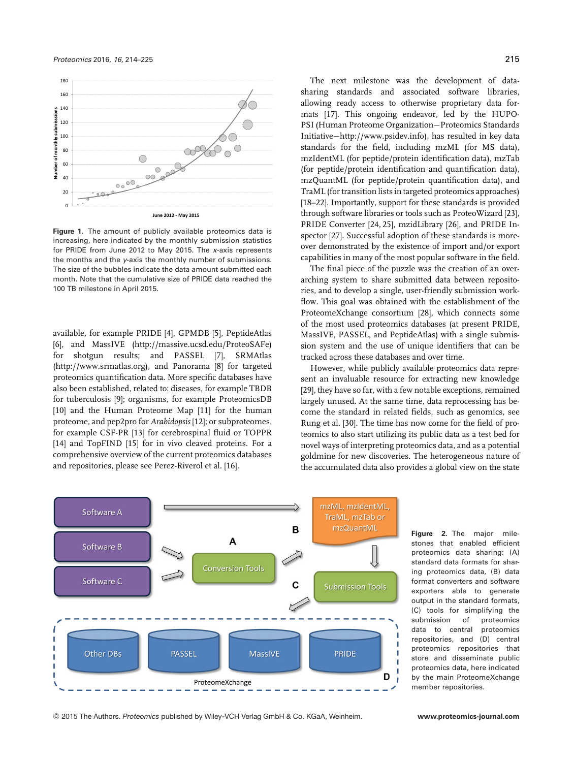

**Figure 1.** The amount of publicly available proteomics data is increasing, here indicated by the monthly submission statistics for PRIDE from June 2012 to May 2015. The *x*-axis represents the months and the *y*-axis the monthly number of submissions. The size of the bubbles indicate the data amount submitted each month. Note that the cumulative size of PRIDE data reached the 100 TB milestone in April 2015.

available, for example PRIDE [4], GPMDB [5], PeptideAtlas [6], and MassIVE [\(http://massive.ucsd.edu/ProteoSAFe\)](http://massive.ucsd.edu/ProteoSAFe) for shotgun results; and PASSEL [7], SRMAtlas [\(http://www.srmatlas.org\)](http://www.srmatlas.org), and Panorama [8] for targeted proteomics quantification data. More specific databases have also been established, related to: diseases, for example TBDB for tuberculosis [9]; organisms, for example ProteomicsDB [10] and the Human Proteome Map [11] for the human proteome, and pep2pro for *Arabidopsis* [12]; or subproteomes, for example CSF-PR [13] for cerebrospinal fluid or TOPPR [14] and TopFIND [15] for in vivo cleaved proteins. For a comprehensive overview of the current proteomics databases and repositories, please see Perez-Riverol et al. [16].

The next milestone was the development of datasharing standards and associated software libraries, allowing ready access to otherwise proprietary data formats [17]. This ongoing endeavor, led by the HUPO-PSI (Human Proteome Organization−Proteomics Standards Initiative−[http://www.psidev.info\)](http://www.psidev.info), has resulted in key data standards for the field, including mzML (for MS data), mzIdentML (for peptide/protein identification data), mzTab (for peptide/protein identification and quantification data), mzQuantML (for peptide/protein quantification data), and TraML (for transition lists in targeted proteomics approaches) [18–22]. Importantly, support for these standards is provided through software libraries or tools such as ProteoWizard [23], PRIDE Converter [24, 25], mzidLibrary [26], and PRIDE Inspector [27]. Successful adoption of these standards is moreover demonstrated by the existence of import and/or export capabilities in many of the most popular software in the field.

The final piece of the puzzle was the creation of an overarching system to share submitted data between repositories, and to develop a single, user-friendly submission workflow. This goal was obtained with the establishment of the ProteomeXchange consortium [28], which connects some of the most used proteomics databases (at present PRIDE, MassIVE, PASSEL, and PeptideAtlas) with a single submission system and the use of unique identifiers that can be tracked across these databases and over time.

However, while publicly available proteomics data represent an invaluable resource for extracting new knowledge [29], they have so far, with a few notable exceptions, remained largely unused. At the same time, data reprocessing has become the standard in related fields, such as genomics, see Rung et al. [30]. The time has now come for the field of proteomics to also start utilizing its public data as a test bed for novel ways of interpreting proteomics data, and as a potential goldmine for new discoveries. The heterogeneous nature of the accumulated data also provides a global view on the state



**Figure 2.** The major milestones that enabled efficient proteomics data sharing: (A) standard data formats for sharing proteomics data, (B) data format converters and software exporters able to generate output in the standard formats, (C) tools for simplifying the submission of proteomics data to central proteomics repositories, and (D) central proteomics repositories that store and disseminate public proteomics data, here indicated by the main ProteomeXchange member repositories.

<sup>C</sup> 2015 The Authors. *Proteomics* published by Wiley-VCH Verlag GmbH & Co. KGaA, Weinheim. **www.proteomics-journal.com**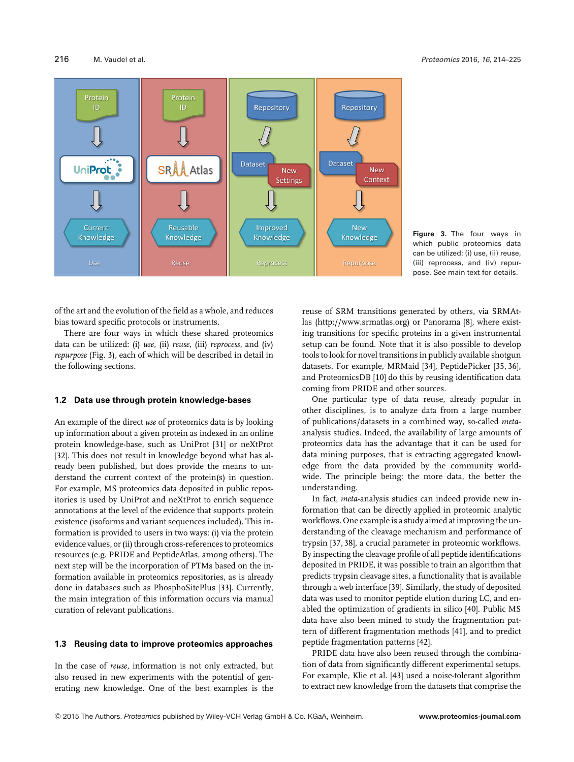Protein





**Figure 3.** The four ways in which public proteomics data can be utilized: (i) use, (ii) reuse, (iii) reprocess, and (iv) repurpose. See main text for details.

of the art and the evolution of the field as a whole, and reduces bias toward specific protocols or instruments.

Protein

There are four ways in which these shared proteomics data can be utilized: (i) *use*, (ii) *reuse*, (iii) *reprocess*, and (iv) *repurpose* (Fig. 3), each of which will be described in detail in the following sections.

#### **1.2 Data use through protein knowledge-bases**

An example of the direct *use* of proteomics data is by looking up information about a given protein as indexed in an online protein knowledge-base, such as UniProt [31] or neXtProt [32]. This does not result in knowledge beyond what has already been published, but does provide the means to understand the current context of the protein(s) in question. For example, MS proteomics data deposited in public repositories is used by UniProt and neXtProt to enrich sequence annotations at the level of the evidence that supports protein existence (isoforms and variant sequences included). This information is provided to users in two ways: (i) via the protein evidence values, or (ii) through cross-references to proteomics resources (e.g. PRIDE and PeptideAtlas, among others). The next step will be the incorporation of PTMs based on the information available in proteomics repositories, as is already done in databases such as PhosphoSitePlus [33]. Currently, the main integration of this information occurs via manual curation of relevant publications.

#### **1.3 Reusing data to improve proteomics approaches**

In the case of *reuse*, information is not only extracted, but also reused in new experiments with the potential of generating new knowledge. One of the best examples is the reuse of SRM transitions generated by others, via SRMAtlas [\(http://www.srmatlas.org\)](http://www.srmatlas.org) or Panorama [8], where existing transitions for specific proteins in a given instrumental setup can be found. Note that it is also possible to develop tools to look for novel transitions in publicly available shotgun datasets. For example, MRMaid [34], PeptidePicker [35, 36], and ProteomicsDB [10] do this by reusing identification data coming from PRIDE and other sources.

One particular type of data reuse, already popular in other disciplines, is to analyze data from a large number of publications/datasets in a combined way, so-called *meta*analysis studies. Indeed, the availability of large amounts of proteomics data has the advantage that it can be used for data mining purposes, that is extracting aggregated knowledge from the data provided by the community worldwide. The principle being: the more data, the better the understanding.

In fact, *meta*-analysis studies can indeed provide new information that can be directly applied in proteomic analytic workflows. One example is a study aimed at improving the understanding of the cleavage mechanism and performance of trypsin [37, 38], a crucial parameter in proteomic workflows. By inspecting the cleavage profile of all peptide identifications deposited in PRIDE, it was possible to train an algorithm that predicts trypsin cleavage sites, a functionality that is available through a web interface [39]. Similarly, the study of deposited data was used to monitor peptide elution during LC, and enabled the optimization of gradients in silico [40]. Public MS data have also been mined to study the fragmentation pattern of different fragmentation methods [41], and to predict peptide fragmentation patterns [42].

PRIDE data have also been reused through the combination of data from significantly different experimental setups. For example, Klie et al. [43] used a noise-tolerant algorithm to extract new knowledge from the datasets that comprise the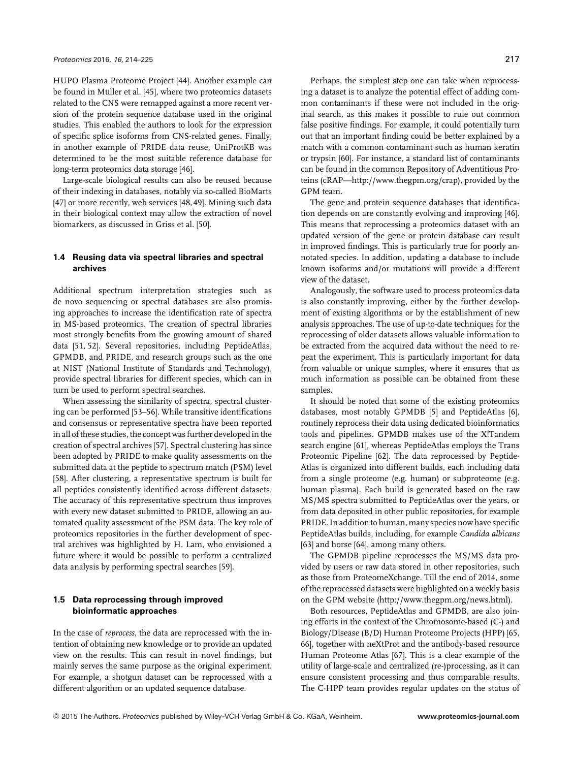HUPO Plasma Proteome Project [44]. Another example can be found in Müller et al. [45], where two proteomics datasets related to the CNS were remapped against a more recent version of the protein sequence database used in the original studies. This enabled the authors to look for the expression of specific splice isoforms from CNS-related genes. Finally, in another example of PRIDE data reuse, UniProtKB was determined to be the most suitable reference database for long-term proteomics data storage [46].

Large-scale biological results can also be reused because of their indexing in databases, notably via so-called BioMarts [47] or more recently, web services [48, 49]. Mining such data in their biological context may allow the extraction of novel biomarkers, as discussed in Griss et al. [50].

#### **1.4 Reusing data via spectral libraries and spectral archives**

Additional spectrum interpretation strategies such as de novo sequencing or spectral databases are also promising approaches to increase the identification rate of spectra in MS-based proteomics. The creation of spectral libraries most strongly benefits from the growing amount of shared data [51, 52]. Several repositories, including PeptideAtlas, GPMDB, and PRIDE, and research groups such as the one at NIST (National Institute of Standards and Technology), provide spectral libraries for different species, which can in turn be used to perform spectral searches.

When assessing the similarity of spectra, spectral clustering can be performed [53–56]. While transitive identifications and consensus or representative spectra have been reported in all of these studies, the concept was further developed in the creation of spectral archives [57]. Spectral clustering has since been adopted by PRIDE to make quality assessments on the submitted data at the peptide to spectrum match (PSM) level [58]. After clustering, a representative spectrum is built for all peptides consistently identified across different datasets. The accuracy of this representative spectrum thus improves with every new dataset submitted to PRIDE, allowing an automated quality assessment of the PSM data. The key role of proteomics repositories in the further development of spectral archives was highlighted by H. Lam, who envisioned a future where it would be possible to perform a centralized data analysis by performing spectral searches [59].

# **1.5 Data reprocessing through improved bioinformatic approaches**

In the case of *reprocess*, the data are reprocessed with the intention of obtaining new knowledge or to provide an updated view on the results. This can result in novel findings, but mainly serves the same purpose as the original experiment. For example, a shotgun dataset can be reprocessed with a different algorithm or an updated sequence database.

Perhaps, the simplest step one can take when reprocessing a dataset is to analyze the potential effect of adding common contaminants if these were not included in the original search, as this makes it possible to rule out common false positive findings. For example, it could potentially turn out that an important finding could be better explained by a match with a common contaminant such as human keratin or trypsin [60]. For instance, a standard list of contaminants can be found in the common Repository of Adventitious Proteins (cRAP[—http://www.thegpm.org/crap\)](http://www.thegpm.org/crap), provided by the GPM team.

The gene and protein sequence databases that identification depends on are constantly evolving and improving [46]. This means that reprocessing a proteomics dataset with an updated version of the gene or protein database can result in improved findings. This is particularly true for poorly annotated species. In addition, updating a database to include known isoforms and/or mutations will provide a different view of the dataset.

Analogously, the software used to process proteomics data is also constantly improving, either by the further development of existing algorithms or by the establishment of new analysis approaches. The use of up-to-date techniques for the reprocessing of older datasets allows valuable information to be extracted from the acquired data without the need to repeat the experiment. This is particularly important for data from valuable or unique samples, where it ensures that as much information as possible can be obtained from these samples.

It should be noted that some of the existing proteomics databases, most notably GPMDB [5] and PeptideAtlas [6], routinely reprocess their data using dedicated bioinformatics tools and pipelines. GPMDB makes use of the X!Tandem search engine [61], whereas PeptideAtlas employs the Trans Proteomic Pipeline [62]. The data reprocessed by Peptide-Atlas is organized into different builds, each including data from a single proteome (e.g. human) or subproteome (e.g. human plasma). Each build is generated based on the raw MS/MS spectra submitted to PeptideAtlas over the years, or from data deposited in other public repositories, for example PRIDE. In addition to human, many species now have specific PeptideAtlas builds, including, for example *Candida albicans* [63] and horse [64], among many others.

The GPMDB pipeline reprocesses the MS/MS data provided by users or raw data stored in other repositories, such as those from ProteomeXchange. Till the end of 2014, some of the reprocessed datasets were highlighted on a weekly basis on the GPM website [\(http://www.thegpm.org/news.html\)](http://www.thegpm.org/news.html).

Both resources, PeptideAtlas and GPMDB, are also joining efforts in the context of the Chromosome-based (C-) and Biology/Disease (B/D) Human Proteome Projects (HPP) [65, 66], together with neXtProt and the antibody-based resource Human Proteome Atlas [67]. This is a clear example of the utility of large-scale and centralized (re-)processing, as it can ensure consistent processing and thus comparable results. The C-HPP team provides regular updates on the status of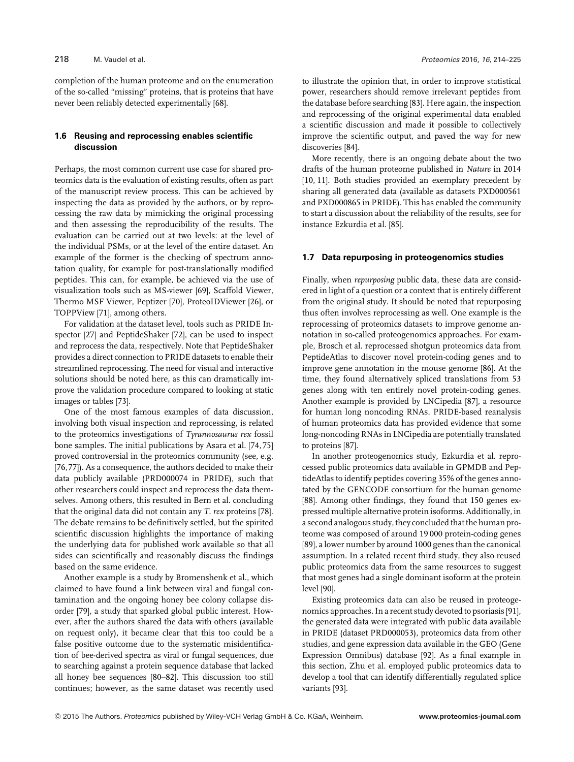completion of the human proteome and on the enumeration of the so-called "missing" proteins, that is proteins that have never been reliably detected experimentally [68].

#### **1.6 Reusing and reprocessing enables scientific discussion**

Perhaps, the most common current use case for shared proteomics data is the evaluation of existing results, often as part of the manuscript review process. This can be achieved by inspecting the data as provided by the authors, or by reprocessing the raw data by mimicking the original processing and then assessing the reproducibility of the results. The evaluation can be carried out at two levels: at the level of the individual PSMs, or at the level of the entire dataset. An example of the former is the checking of spectrum annotation quality, for example for post-translationally modified peptides. This can, for example, be achieved via the use of visualization tools such as MS-viewer [69], Scaffold Viewer, Thermo MSF Viewer, Peptizer [70], ProteoIDViewer [26], or TOPPView [71], among others.

For validation at the dataset level, tools such as PRIDE Inspector [27] and PeptideShaker [72], can be used to inspect and reprocess the data, respectively. Note that PeptideShaker provides a direct connection to PRIDE datasets to enable their streamlined reprocessing. The need for visual and interactive solutions should be noted here, as this can dramatically improve the validation procedure compared to looking at static images or tables [73].

One of the most famous examples of data discussion, involving both visual inspection and reprocessing, is related to the proteomics investigations of *Tyrannosaurus rex* fossil bone samples. The initial publications by Asara et al. [74, 75] proved controversial in the proteomics community (see, e.g. [76,77]). As a consequence, the authors decided to make their data publicly available (PRD000074 in PRIDE), such that other researchers could inspect and reprocess the data themselves. Among others, this resulted in Bern et al. concluding that the original data did not contain any *T. rex* proteins [78]. The debate remains to be definitively settled, but the spirited scientific discussion highlights the importance of making the underlying data for published work available so that all sides can scientifically and reasonably discuss the findings based on the same evidence.

Another example is a study by Bromenshenk et al., which claimed to have found a link between viral and fungal contamination and the ongoing honey bee colony collapse disorder [79], a study that sparked global public interest. However, after the authors shared the data with others (available on request only), it became clear that this too could be a false positive outcome due to the systematic misidentification of bee-derived spectra as viral or fungal sequences, due to searching against a protein sequence database that lacked all honey bee sequences [80–82]. This discussion too still continues; however, as the same dataset was recently used

to illustrate the opinion that, in order to improve statistical power, researchers should remove irrelevant peptides from the database before searching [83]. Here again, the inspection and reprocessing of the original experimental data enabled a scientific discussion and made it possible to collectively improve the scientific output, and paved the way for new discoveries [84].

More recently, there is an ongoing debate about the two drafts of the human proteome published in *Nature* in 2014 [10, 11]. Both studies provided an exemplary precedent by sharing all generated data (available as datasets PXD000561 and PXD000865 in PRIDE). This has enabled the community to start a discussion about the reliability of the results, see for instance Ezkurdia et al. [85].

#### **1.7 Data repurposing in proteogenomics studies**

Finally, when *repurposing* public data, these data are considered in light of a question or a context that is entirely different from the original study. It should be noted that repurposing thus often involves reprocessing as well. One example is the reprocessing of proteomics datasets to improve genome annotation in so-called proteogenomics approaches. For example, Brosch et al. reprocessed shotgun proteomics data from PeptideAtlas to discover novel protein-coding genes and to improve gene annotation in the mouse genome [86]. At the time, they found alternatively spliced translations from 53 genes along with ten entirely novel protein-coding genes. Another example is provided by LNCipedia [87], a resource for human long noncoding RNAs. PRIDE-based reanalysis of human proteomics data has provided evidence that some long-noncoding RNAs in LNCipedia are potentially translated to proteins [87].

In another proteogenomics study, Ezkurdia et al. reprocessed public proteomics data available in GPMDB and PeptideAtlas to identify peptides covering 35% of the genes annotated by the GENCODE consortium for the human genome [88]. Among other findings, they found that 150 genes expressed multiple alternative protein isoforms. Additionally, in a second analogous study, they concluded that the human proteome was composed of around 19 000 protein-coding genes [89], a lower number by around 1000 genes than the canonical assumption. In a related recent third study, they also reused public proteomics data from the same resources to suggest that most genes had a single dominant isoform at the protein level [90].

Existing proteomics data can also be reused in proteogenomics approaches. In a recent study devoted to psoriasis [91], the generated data were integrated with public data available in PRIDE (dataset PRD000053), proteomics data from other studies, and gene expression data available in the GEO (Gene Expression Omnibus) database [92]. As a final example in this section, Zhu et al. employed public proteomics data to develop a tool that can identify differentially regulated splice variants [93].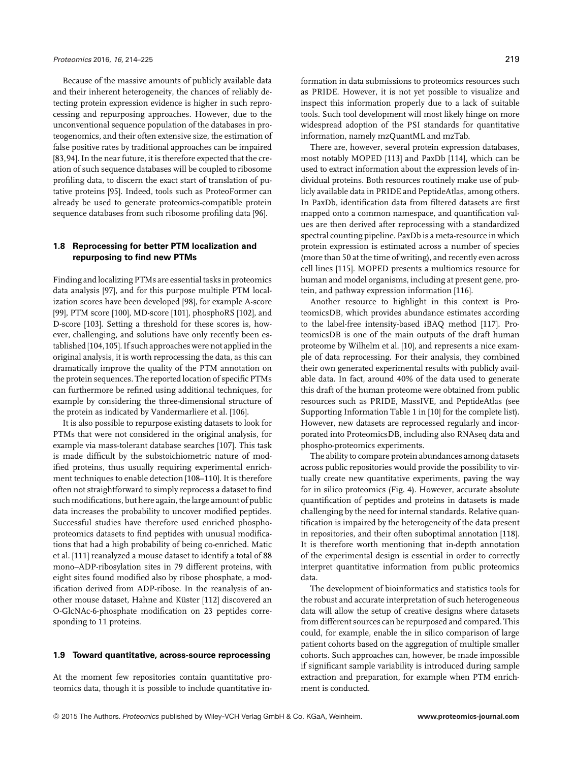Because of the massive amounts of publicly available data and their inherent heterogeneity, the chances of reliably detecting protein expression evidence is higher in such reprocessing and repurposing approaches. However, due to the unconventional sequence population of the databases in proteogenomics, and their often extensive size, the estimation of false positive rates by traditional approaches can be impaired [83,94]. In the near future, it is therefore expected that the creation of such sequence databases will be coupled to ribosome profiling data, to discern the exact start of translation of putative proteins [95]. Indeed, tools such as ProteoFormer can already be used to generate proteomics-compatible protein sequence databases from such ribosome profiling data [96].

## **1.8 Reprocessing for better PTM localization and repurposing to find new PTMs**

Finding and localizing PTMs are essential tasks in proteomics data analysis [97], and for this purpose multiple PTM localization scores have been developed [98], for example A-score [99], PTM score [100], MD-score [101], phosphoRS [102], and D-score [103]. Setting a threshold for these scores is, however, challenging, and solutions have only recently been established [104,105]. If such approaches were not applied in the original analysis, it is worth reprocessing the data, as this can dramatically improve the quality of the PTM annotation on the protein sequences. The reported location of specific PTMs can furthermore be refined using additional techniques, for example by considering the three-dimensional structure of the protein as indicated by Vandermarliere et al. [106].

It is also possible to repurpose existing datasets to look for PTMs that were not considered in the original analysis, for example via mass-tolerant database searches [107]. This task is made difficult by the substoichiometric nature of modified proteins, thus usually requiring experimental enrichment techniques to enable detection [108–110]. It is therefore often not straightforward to simply reprocess a dataset to find such modifications, but here again, the large amount of public data increases the probability to uncover modified peptides. Successful studies have therefore used enriched phosphoproteomics datasets to find peptides with unusual modifications that had a high probability of being co-enriched. Matic et al. [111] reanalyzed a mouse dataset to identify a total of 88 mono–ADP-ribosylation sites in 79 different proteins, with eight sites found modified also by ribose phosphate, a modification derived from ADP-ribose. In the reanalysis of another mouse dataset, Hahne and Küster [112] discovered an O-GlcNAc-6-phosphate modification on 23 peptides corresponding to 11 proteins.

#### **1.9 Toward quantitative, across-source reprocessing**

At the moment few repositories contain quantitative proteomics data, though it is possible to include quantitative information in data submissions to proteomics resources such as PRIDE. However, it is not yet possible to visualize and inspect this information properly due to a lack of suitable tools. Such tool development will most likely hinge on more widespread adoption of the PSI standards for quantitative information, namely mzQuantML and mzTab.

There are, however, several protein expression databases, most notably MOPED [113] and PaxDb [114], which can be used to extract information about the expression levels of individual proteins. Both resources routinely make use of publicly available data in PRIDE and PeptideAtlas, among others. In PaxDb, identification data from filtered datasets are first mapped onto a common namespace, and quantification values are then derived after reprocessing with a standardized spectral counting pipeline. PaxDb is a meta-resource in which protein expression is estimated across a number of species (more than 50 at the time of writing), and recently even across cell lines [115]. MOPED presents a multiomics resource for human and model organisms, including at present gene, protein, and pathway expression information [116].

Another resource to highlight in this context is ProteomicsDB, which provides abundance estimates according to the label-free intensity-based iBAQ method [117]. ProteomicsDB is one of the main outputs of the draft human proteome by Wilhelm et al. [10], and represents a nice example of data reprocessing. For their analysis, they combined their own generated experimental results with publicly available data. In fact, around 40% of the data used to generate this draft of the human proteome were obtained from public resources such as PRIDE, MassIVE, and PeptideAtlas (see Supporting Information Table 1 in [10] for the complete list). However, new datasets are reprocessed regularly and incorporated into ProteomicsDB, including also RNAseq data and phospho-proteomics experiments.

The ability to compare protein abundances among datasets across public repositories would provide the possibility to virtually create new quantitative experiments, paving the way for in silico proteomics (Fig. 4). However, accurate absolute quantification of peptides and proteins in datasets is made challenging by the need for internal standards. Relative quantification is impaired by the heterogeneity of the data present in repositories, and their often suboptimal annotation [118]. It is therefore worth mentioning that in-depth annotation of the experimental design is essential in order to correctly interpret quantitative information from public proteomics data.

The development of bioinformatics and statistics tools for the robust and accurate interpretation of such heterogeneous data will allow the setup of creative designs where datasets from different sources can be repurposed and compared. This could, for example, enable the in silico comparison of large patient cohorts based on the aggregation of multiple smaller cohorts. Such approaches can, however, be made impossible if significant sample variability is introduced during sample extraction and preparation, for example when PTM enrichment is conducted.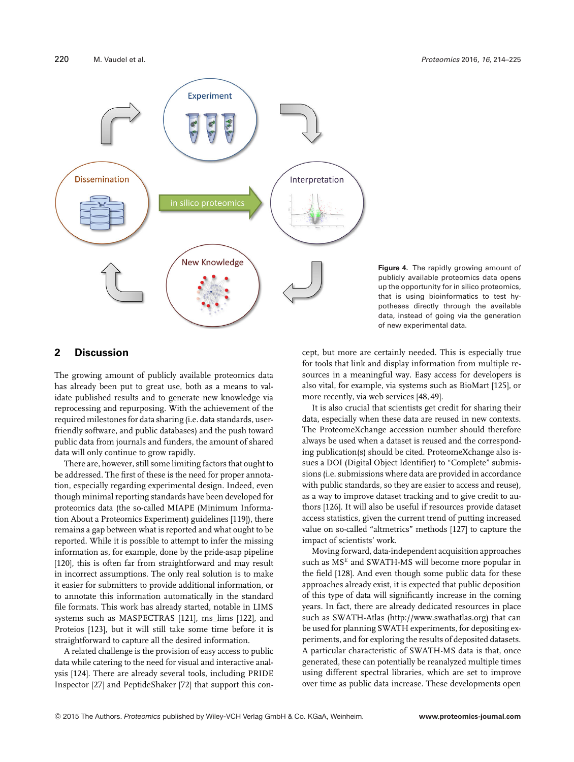

**Figure 4.** The rapidly growing amount of publicly available proteomics data opens up the opportunity for in silico proteomics, that is using bioinformatics to test hypotheses directly through the available data, instead of going via the generation of new experimental data.

# **2 Discussion**

The growing amount of publicly available proteomics data has already been put to great use, both as a means to validate published results and to generate new knowledge via reprocessing and repurposing. With the achievement of the required milestones for data sharing (i.e. data standards, userfriendly software, and public databases) and the push toward public data from journals and funders, the amount of shared data will only continue to grow rapidly.

There are, however, still some limiting factors that ought to be addressed. The first of these is the need for proper annotation, especially regarding experimental design. Indeed, even though minimal reporting standards have been developed for proteomics data (the so-called MIAPE (Minimum Information About a Proteomics Experiment) guidelines [119]), there remains a gap between what is reported and what ought to be reported. While it is possible to attempt to infer the missing information as, for example, done by the pride-asap pipeline [120], this is often far from straightforward and may result in incorrect assumptions. The only real solution is to make it easier for submitters to provide additional information, or to annotate this information automatically in the standard file formats. This work has already started, notable in LIMS systems such as MASPECTRAS [121], ms\_lims [122], and Proteios [123], but it will still take some time before it is straightforward to capture all the desired information.

A related challenge is the provision of easy access to public data while catering to the need for visual and interactive analysis [124]. There are already several tools, including PRIDE Inspector [27] and PeptideShaker [72] that support this concept, but more are certainly needed. This is especially true for tools that link and display information from multiple resources in a meaningful way. Easy access for developers is also vital, for example, via systems such as BioMart [125], or more recently, via web services [48, 49].

It is also crucial that scientists get credit for sharing their data, especially when these data are reused in new contexts. The ProteomeXchange accession number should therefore always be used when a dataset is reused and the corresponding publication(s) should be cited. ProteomeXchange also issues a DOI (Digital Object Identifier) to "Complete" submissions (i.e. submissions where data are provided in accordance with public standards, so they are easier to access and reuse), as a way to improve dataset tracking and to give credit to authors [126]. It will also be useful if resources provide dataset access statistics, given the current trend of putting increased value on so-called "altmetrics" methods [127] to capture the impact of scientists' work.

Moving forward, data-independent acquisition approaches such as MSE and SWATH-MS will become more popular in the field [128]. And even though some public data for these approaches already exist, it is expected that public deposition of this type of data will significantly increase in the coming years. In fact, there are already dedicated resources in place such as SWATH-Atlas [\(http://www.swathatlas.org\)](http://www.swathatlas.org) that can be used for planning SWATH experiments, for depositing experiments, and for exploring the results of deposited datasets. A particular characteristic of SWATH-MS data is that, once generated, these can potentially be reanalyzed multiple times using different spectral libraries, which are set to improve over time as public data increase. These developments open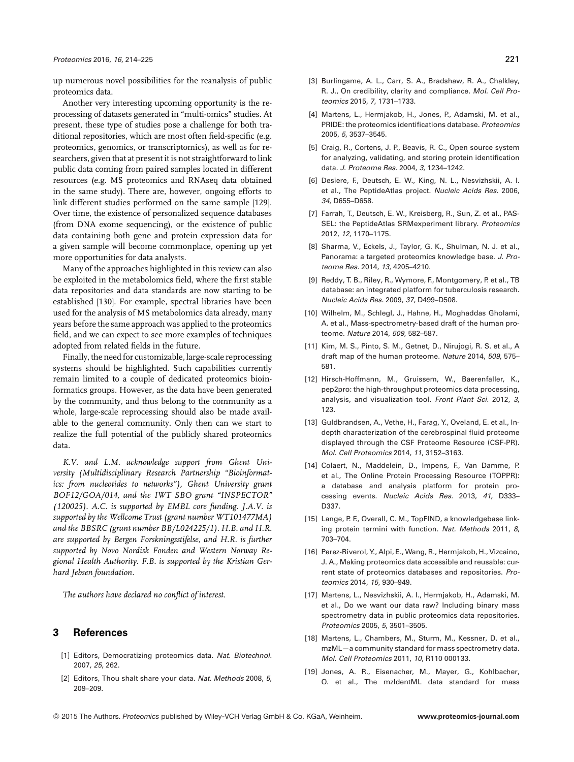up numerous novel possibilities for the reanalysis of public proteomics data.

Another very interesting upcoming opportunity is the reprocessing of datasets generated in "multi-omics" studies. At present, these type of studies pose a challenge for both traditional repositories, which are most often field-specific (e.g. proteomics, genomics, or transcriptomics), as well as for researchers, given that at present it is not straightforward to link public data coming from paired samples located in different resources (e.g. MS proteomics and RNAseq data obtained in the same study). There are, however, ongoing efforts to link different studies performed on the same sample [129]. Over time, the existence of personalized sequence databases (from DNA exome sequencing), or the existence of public data containing both gene and protein expression data for a given sample will become commonplace, opening up yet more opportunities for data analysts.

Many of the approaches highlighted in this review can also be exploited in the metabolomics field, where the first stable data repositories and data standards are now starting to be established [130]. For example, spectral libraries have been used for the analysis of MS metabolomics data already, many years before the same approach was applied to the proteomics field, and we can expect to see more examples of techniques adopted from related fields in the future.

Finally, the need for customizable, large-scale reprocessing systems should be highlighted. Such capabilities currently remain limited to a couple of dedicated proteomics bioinformatics groups. However, as the data have been generated by the community, and thus belong to the community as a whole, large-scale reprocessing should also be made available to the general community. Only then can we start to realize the full potential of the publicly shared proteomics data.

*K.V. and L.M. acknowledge support from Ghent University (Multidisciplinary Research Partnership "Bioinformatics: from nucleotides to networks"), Ghent University grant BOF12/GOA/014, and the IWT SBO grant "INSPECTOR" (120025). A.C. is supported by EMBL core funding. J.A.V. is supported by the Wellcome Trust (grant number WT101477MA) and the BBSRC (grant number BB/L024225/1). H.B. and H.R. are supported by Bergen Forskningsstifelse, and H.R. is further supported by Novo Nordisk Fonden and Western Norway Regional Health Authority. F.B. is supported by the Kristian Gerhard Jebsen foundation.*

*The authors have declared no conflict of interest.*

# **3 References**

- [1] Editors, Democratizing proteomics data. *Nat. Biotechnol.* 2007, *25*, 262.
- [2] Editors, Thou shalt share your data. *Nat. Methods* 2008, *5*, 209–209.
- [3] Burlingame, A. L., Carr, S. A., Bradshaw, R. A., Chalkley, R. J., On credibility, clarity and compliance. *Mol. Cell Proteomics* 2015, *7*, 1731–1733.
- [4] Martens, L., Hermjakob, H., Jones, P., Adamski, M. et al., PRIDE: the proteomics identifications database. *Proteomics* 2005, *5*, 3537–3545.
- [5] Craig, R., Cortens, J. P., Beavis, R. C., Open source system for analyzing, validating, and storing protein identification data. *J. Proteome Res.* 2004, *3*, 1234–1242.
- [6] Desiere, F., Deutsch, E. W., King, N. L., Nesvizhskii, A. I. et al., The PeptideAtlas project. *Nucleic Acids Res.* 2006, *34*, D655–D658.
- [7] Farrah, T., Deutsch, E. W., Kreisberg, R., Sun, Z. et al., PAS-SEL: the PeptideAtlas SRMexperiment library. *Proteomics* 2012, *12*, 1170–1175.
- [8] Sharma, V., Eckels, J., Taylor, G. K., Shulman, N. J. et al., Panorama: a targeted proteomics knowledge base. *J. Proteome Res.* 2014, *13*, 4205–4210.
- [9] Reddy, T. B., Riley, R., Wymore, F., Montgomery, P. et al., TB database: an integrated platform for tuberculosis research. *Nucleic Acids Res.* 2009, *37*, D499–D508.
- [10] Wilhelm, M., Schlegl, J., Hahne, H., Moghaddas Gholami, A. et al., Mass-spectrometry-based draft of the human proteome. *Nature* 2014, *509*, 582–587.
- [11] Kim, M. S., Pinto, S. M., Getnet, D., Nirujogi, R. S. et al., A draft map of the human proteome. *Nature* 2014, *509*, 575– 581.
- [12] Hirsch-Hoffmann, M., Gruissem, W., Baerenfaller, K., pep2pro: the high-throughput proteomics data processing, analysis, and visualization tool. *Front Plant Sci.* 2012, *3*, 123.
- [13] Guldbrandsen, A., Vethe, H., Farag, Y., Oveland, E. et al., Indepth characterization of the cerebrospinal fluid proteome displayed through the CSF Proteome Resource (CSF-PR). *Mol. Cell Proteomics* 2014, *11*, 3152–3163.
- [14] Colaert, N., Maddelein, D., Impens, F., Van Damme, P. et al., The Online Protein Processing Resource (TOPPR): a database and analysis platform for protein processing events. *Nucleic Acids Res.* 2013, *41*, D333– D337.
- [15] Lange, P. F., Overall, C. M., TopFIND, a knowledgebase linking protein termini with function. *Nat. Methods* 2011, *8*, 703–704.
- [16] Perez-Riverol, Y., Alpi, E., Wang, R., Hermjakob, H., Vizcaino, J. A., Making proteomics data accessible and reusable: current state of proteomics databases and repositories. *Proteomics* 2014, *15*, 930–949.
- [17] Martens, L., Nesvizhskii, A. I., Hermjakob, H., Adamski, M. et al., Do we want our data raw? Including binary mass spectrometry data in public proteomics data repositories. *Proteomics* 2005, *5*, 3501–3505.
- [18] Martens, L., Chambers, M., Sturm, M., Kessner, D. et al., mzML—a community standard for mass spectrometry data. *Mol. Cell Proteomics* 2011, *10*, R110 000133.
- [19] Jones, A. R., Eisenacher, M., Mayer, G., Kohlbacher, O. et al., The mzIdentML data standard for mass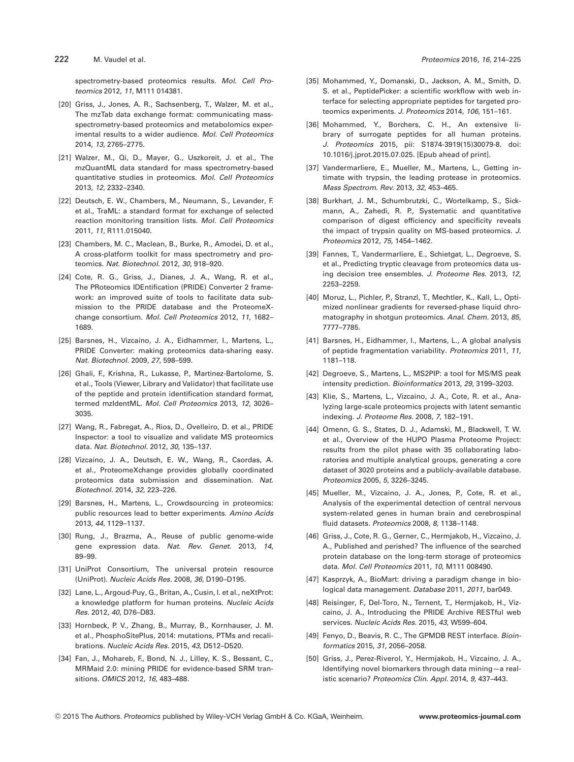spectrometry-based proteomics results. *Mol. Cell Proteomics* 2012, *11*, M111 014381.

- [20] Griss, J., Jones, A. R., Sachsenberg, T., Walzer, M. et al., The mzTab data exchange format: communicating massspectrometry-based proteomics and metabolomics experimental results to a wider audience. *Mol. Cell Proteomics* 2014, *13*, 2765–2775.
- [21] Walzer, M., Qi, D., Mayer, G., Uszkoreit, J. et al., The mzQuantML data standard for mass spectrometry-based quantitative studies in proteomics. *Mol. Cell Proteomics* 2013, *12*, 2332–2340.
- [22] Deutsch, E. W., Chambers, M., Neumann, S., Levander, F. et al., TraML: a standard format for exchange of selected reaction monitoring transition lists. *Mol. Cell Proteomics* 2011, *11*, R111.015040.
- [23] Chambers, M. C., Maclean, B., Burke, R., Amodei, D. et al., A cross-platform toolkit for mass spectrometry and proteomics. *Nat. Biotechnol.* 2012, *30*, 918–920.
- [24] Cote, R. G., Griss, J., Dianes, J. A., Wang, R. et al., The PRoteomics IDEntification (PRIDE) Converter 2 framework: an improved suite of tools to facilitate data submission to the PRIDE database and the ProteomeXchange consortium. *Mol. Cell Proteomics* 2012, *11*, 1682– 1689.
- [25] Barsnes, H., Vizcaíno, J. A., Eidhammer, I., Martens, L., PRIDE Converter: making proteomics data-sharing easy. *Nat. Biotechnol.* 2009, *27*, 598–599.
- [26] Ghali, F., Krishna, R., Lukasse, P., Martinez-Bartolome, S. et al., Tools (Viewer, Library and Validator) that facilitate use of the peptide and protein identification standard format, termed mzIdentML. *Mol. Cell Proteomics* 2013, *12*, 3026– 3035.
- [27] Wang, R., Fabregat, A., Rios, D., Ovelleiro, D. et al., PRIDE Inspector: a tool to visualize and validate MS proteomics data. *Nat. Biotechnol.* 2012, *30*, 135–137.
- [28] Vizcaíno, J. A., Deutsch, E. W., Wang, R., Csordas, A. et al., ProteomeXchange provides globally coordinated proteomics data submission and dissemination. *Nat. Biotechnol.* 2014, *32*, 223–226.
- [29] Barsnes, H., Martens, L., Crowdsourcing in proteomics: public resources lead to better experiments. *Amino Acids* 2013, *44*, 1129–1137.
- [30] Rung, J., Brazma, A., Reuse of public genome-wide gene expression data. *Nat. Rev. Genet.* 2013, *14*, 89–99.
- [31] UniProt Consortium, The universal protein resource (UniProt). *Nucleic Acids Res.* 2008, *36*, D190–D195.
- [32] Lane, L., Argoud-Puy, G., Britan, A., Cusin, I. et al., neXtProt: a knowledge platform for human proteins. *Nucleic Acids Res.* 2012, *40*, D76–D83.
- [33] Hornbeck, P. V., Zhang, B., Murray, B., Kornhauser, J. M. et al., PhosphoSitePlus, 2014: mutations, PTMs and recalibrations. *Nucleic Acids Res.* 2015, *43*, D512–D520.
- [34] Fan, J., Mohareb, F., Bond, N. J., Lilley, K. S., Bessant, C., MRMaid 2.0: mining PRIDE for evidence-based SRM transitions. *OMICS* 2012, *16*, 483–488.
- [35] Mohammed, Y., Domanski, D., Jackson, A. M., Smith, D. S. et al., PeptidePicker: a scientific workflow with web interface for selecting appropriate peptides for targeted proteomics experiments. *J. Proteomics* 2014, *106*, 151–161.
- [36] Mohammed, Y., Borchers, C. H., An extensive library of surrogate peptides for all human proteins. *J. Proteomics* 2015, pii: S1874-3919(15)30079-8. doi: 10.1016/j.jprot.2015.07.025. [Epub ahead of print].
- [37] Vandermarliere, E., Mueller, M., Martens, L., Getting intimate with trypsin, the leading protease in proteomics. *Mass Spectrom. Rev.* 2013, *32*, 453–465.
- [38] Burkhart, J. M., Schumbrutzki, C., Wortelkamp, S., Sickmann, A., Zahedi, R. P., Systematic and quantitative comparison of digest efficiency and specificity reveals the impact of trypsin quality on MS-based proteomics. *J. Proteomics* 2012, *75*, 1454–1462.
- [39] Fannes, T., Vandermarliere, E., Schietgat, L., Degroeve, S. et al., Predicting tryptic cleavage from proteomics data using decision tree ensembles. *J. Proteome Res.* 2013, *12*, 2253–2259.
- [40] Moruz, L., Pichler, P., Stranzl, T., Mechtler, K., Kall, L., Optimized nonlinear gradients for reversed-phase liquid chromatography in shotgun proteomics. *Anal. Chem.* 2013, *85*, 7777–7785.
- [41] Barsnes, H., Eidhammer, I., Martens, L., A global analysis of peptide fragmentation variability. *Proteomics* 2011, *11*, 1181–118.
- [42] Degroeve, S., Martens, L., MS2PIP: a tool for MS/MS peak intensity prediction. *Bioinformatics* 2013, *29*, 3199–3203.
- [43] Klie, S., Martens, L., Vizcaino, J. A., Cote, R. et al., Analyzing large-scale proteomics projects with latent semantic indexing. *J. Proteome Res.* 2008, *7*, 182–191.
- [44] Omenn, G. S., States, D. J., Adamski, M., Blackwell, T. W. et al., Overview of the HUPO Plasma Proteome Project: results from the pilot phase with 35 collaborating laboratories and multiple analytical groups, generating a core dataset of 3020 proteins and a publicly-available database. *Proteomics* 2005, *5*, 3226–3245.
- [45] Mueller, M., Vizcaino, J. A., Jones, P., Cote, R. et al., Analysis of the experimental detection of central nervous system-related genes in human brain and cerebrospinal fluid datasets. *Proteomics* 2008, *8*, 1138–1148.
- [46] Griss, J., Cote, R. G., Gerner, C., Hermjakob, H., Vizcaino, J. A., Published and perished? The influence of the searched protein database on the long-term storage of proteomics data. *Mol. Cell Proteomics* 2011, *10*, M111 008490.
- [47] Kasprzyk, A., BioMart: driving a paradigm change in biological data management. *Database* 2011, *2011*, bar049.
- [48] Reisinger, F., Del-Toro, N., Ternent, T., Hermjakob, H., Vizcaino, J. A., Introducing the PRIDE Archive RESTful web services. *Nucleic Acids Res.* 2015, *43*, W599–604.
- [49] Fenyo, D., Beavis, R. C., The GPMDB REST interface. *Bioinformatics* 2015, *31*, 2056–2058.
- [50] Griss, J., Perez-Riverol, Y., Hermjakob, H., Vizcaino, J. A., Identifying novel biomarkers through data mining—a realistic scenario? *Proteomics Clin. Appl.* 2014, *9*, 437–443.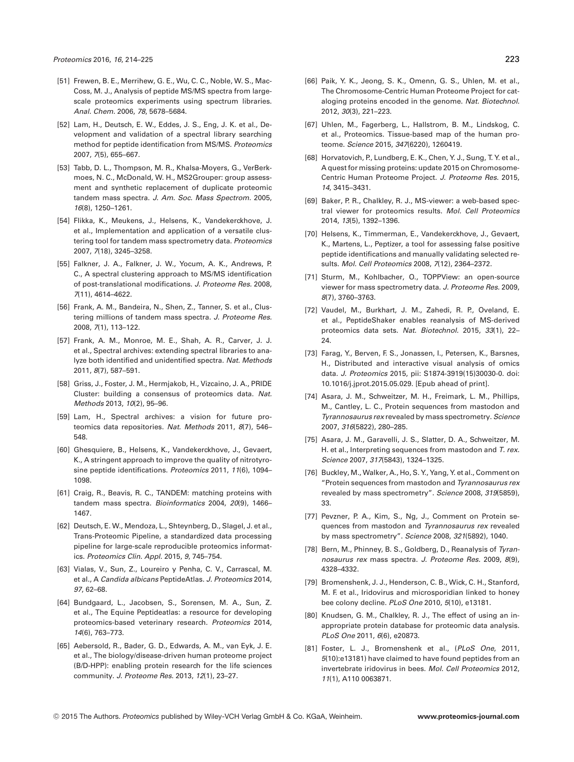- [51] Frewen, B. E., Merrihew, G. E., Wu, C. C., Noble, W. S., Mac-Coss, M. J., Analysis of peptide MS/MS spectra from largescale proteomics experiments using spectrum libraries. *Anal. Chem.* 2006, *78*, 5678–5684.
- [52] Lam, H., Deutsch, E. W., Eddes, J. S., Eng, J. K. et al., Development and validation of a spectral library searching method for peptide identification from MS/MS. *Proteomics* 2007, *7*(5), 655–667.
- [53] Tabb, D. L., Thompson, M. R., Khalsa-Moyers, G., VerBerkmoes, N. C., McDonald, W. H., MS2Grouper: group assessment and synthetic replacement of duplicate proteomic tandem mass spectra. *J. Am. Soc. Mass Spectrom.* 2005, *16*(8), 1250–1261.
- [54] Flikka, K., Meukens, J., Helsens, K., Vandekerckhove, J. et al., Implementation and application of a versatile clustering tool for tandem mass spectrometry data. *Proteomics* 2007, *7*(18), 3245–3258.
- [55] Falkner, J. A., Falkner, J. W., Yocum, A. K., Andrews, P. C., A spectral clustering approach to MS/MS identification of post-translational modifications. *J. Proteome Res.* 2008, *7*(11), 4614–4622.
- [56] Frank, A. M., Bandeira, N., Shen, Z., Tanner, S. et al., Clustering millions of tandem mass spectra. *J. Proteome Res.* 2008, *7*(1), 113–122.
- [57] Frank, A. M., Monroe, M. E., Shah, A. R., Carver, J. J. et al., Spectral archives: extending spectral libraries to analyze both identified and unidentified spectra. *Nat. Methods* 2011, *8*(7), 587–591.
- [58] Griss, J., Foster, J. M., Hermjakob, H., Vizcaino, J. A., PRIDE Cluster: building a consensus of proteomics data. *Nat. Methods* 2013, *10*(2), 95–96.
- [59] Lam, H., Spectral archives: a vision for future proteomics data repositories. *Nat. Methods* 2011, *8*(7), 546– 548.
- [60] Ghesquiere, B., Helsens, K., Vandekerckhove, J., Gevaert, K., A stringent approach to improve the quality of nitrotyrosine peptide identifications. *Proteomics* 2011, *11*(6), 1094– 1098.
- [61] Craig, R., Beavis, R. C., TANDEM: matching proteins with tandem mass spectra. *Bioinformatics* 2004, *20*(9), 1466– 1467.
- [62] Deutsch, E. W., Mendoza, L., Shteynberg, D., Slagel, J. et al., Trans-Proteomic Pipeline, a standardized data processing pipeline for large-scale reproducible proteomics informatics. *Proteomics Clin. Appl.* 2015, *9*, 745–754.
- [63] Vialas, V., Sun, Z., Loureiro y Penha, C. V., Carrascal, M. et al., A *Candida albicans* PeptideAtlas. *J. Proteomics* 2014, *97*, 62–68.
- [64] Bundgaard, L., Jacobsen, S., Sorensen, M. A., Sun, Z. et al., The Equine Peptideatlas: a resource for developing proteomics-based veterinary research. *Proteomics* 2014, *14*(6), 763–773.
- [65] Aebersold, R., Bader, G. D., Edwards, A. M., van Eyk, J. E. et al., The biology/disease-driven human proteome project (B/D-HPP): enabling protein research for the life sciences community. *J. Proteome Res.* 2013, *12*(1), 23–27.
- [66] Paik, Y. K., Jeong, S. K., Omenn, G. S., Uhlen, M. et al., The Chromosome-Centric Human Proteome Project for cataloging proteins encoded in the genome. *Nat. Biotechnol.* 2012, *30*(3), 221–223.
- [67] Uhlen, M., Fagerberg, L., Hallstrom, B. M., Lindskog, C. et al., Proteomics. Tissue-based map of the human proteome. *Science* 2015, *347*(6220), 1260419.
- [68] Horvatovich, P., Lundberg, E. K., Chen, Y. J., Sung, T. Y. et al., A quest for missing proteins: update 2015 on Chromosome-Centric Human Proteome Project. *J. Proteome Res.* 2015, *14*, 3415–3431.
- [69] Baker, P. R., Chalkley, R. J., MS-viewer: a web-based spectral viewer for proteomics results. *Mol. Cell Proteomics* 2014, *13*(5), 1392–1396.
- [70] Helsens, K., Timmerman, E., Vandekerckhove, J., Gevaert, K., Martens, L., Peptizer, a tool for assessing false positive peptide identifications and manually validating selected results. *Mol. Cell Proteomics* 2008, *7*(12), 2364–2372.
- [71] Sturm, M., Kohlbacher, O., TOPPView: an open-source viewer for mass spectrometry data. *J. Proteome Res.* 2009, *8*(7), 3760–3763.
- [72] Vaudel, M., Burkhart, J. M., Zahedi, R. P., Oveland, E. et al., PeptideShaker enables reanalysis of MS-derived proteomics data sets. *Nat. Biotechnol.* 2015, *33*(1), 22– 24.
- [73] Farag, Y., Berven, F. S., Jonassen, I., Petersen, K., Barsnes, H., Distributed and interactive visual analysis of omics data. *J. Proteomics* 2015, pii: S1874-3919(15)30030-0. doi: 10.1016/j.jprot.2015.05.029. [Epub ahead of print].
- [74] Asara, J. M., Schweitzer, M. H., Freimark, L. M., Phillips, M., Cantley, L. C., Protein sequences from mastodon and *Tyrannosaurus rex* revealed by mass spectrometry. *Science* 2007, *316*(5822), 280–285.
- [75] Asara, J. M., Garavelli, J. S., Slatter, D. A., Schweitzer, M. H. et al., Interpreting sequences from mastodon and *T*. *rex. Science* 2007, *317*(5843), 1324–1325.
- [76] Buckley, M., Walker, A., Ho, S. Y., Yang, Y. et al., Comment on "Protein sequences from mastodon and *Tyrannosaurus rex* revealed by mass spectrometry". *Science* 2008, *319*(5859), 33.
- [77] Pevzner, P. A., Kim, S., Ng, J., Comment on Protein sequences from mastodon and *Tyrannosaurus rex* revealed by mass spectrometry". *Science* 2008, *321*(5892), 1040.
- [78] Bern, M., Phinney, B. S., Goldberg, D., Reanalysis of *Tyrannosaurus rex* mass spectra. *J. Proteome Res.* 2009, *8*(9), 4328–4332.
- [79] Bromenshenk, J. J., Henderson, C. B., Wick, C. H., Stanford, M. F. et al., Iridovirus and microsporidian linked to honey bee colony decline. *PLoS One* 2010, *5*(10), e13181.
- [80] Knudsen, G. M., Chalkley, R. J., The effect of using an inappropriate protein database for proteomic data analysis. *PLoS One* 2011, *6*(6), e20873.
- [81] Foster, L. J., Bromenshenk et al., (*PLoS One*, 2011, *5*(10):e13181) have claimed to have found peptides from an invertebrate iridovirus in bees. *Mol. Cell Proteomics* 2012, *11*(1), A110 0063871.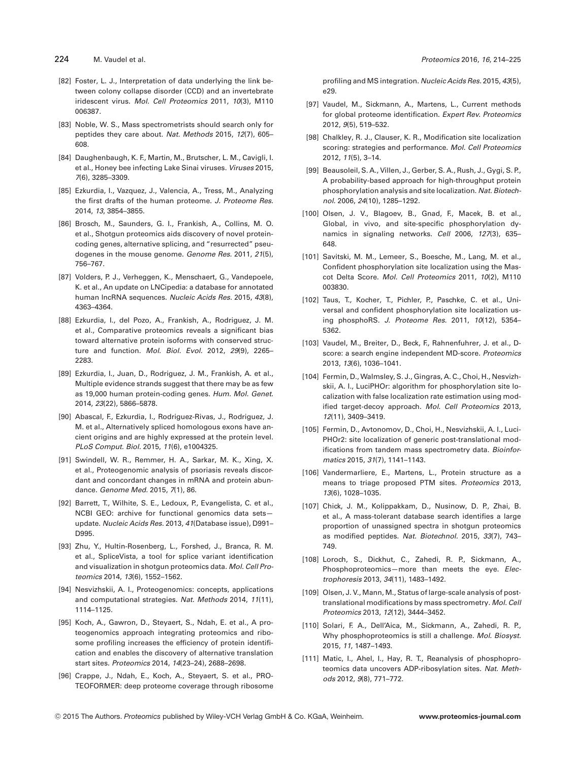- 224 M. Vaudel et al. *Proteomics* 2016, *16*, 214–225
- [82] Foster, L. J., Interpretation of data underlying the link between colony collapse disorder (CCD) and an invertebrate iridescent virus. *Mol. Cell Proteomics* 2011, *10*(3), M110 006387.
- [83] Noble, W. S., Mass spectrometrists should search only for peptides they care about. *Nat. Methods* 2015, *12*(7), 605– 608.
- [84] Daughenbaugh, K. F., Martin, M., Brutscher, L. M., Cavigli, I. et al., Honey bee infecting Lake Sinai viruses. *Viruses* 2015, *7*(6), 3285–3309.
- [85] Ezkurdia, I., Vazquez, J., Valencia, A., Tress, M., Analyzing the first drafts of the human proteome. *J. Proteome Res.* 2014, *13*, 3854–3855.
- [86] Brosch, M., Saunders, G. I., Frankish, A., Collins, M. O. et al., Shotgun proteomics aids discovery of novel proteincoding genes, alternative splicing, and "resurrected" pseudogenes in the mouse genome. *Genome Res.* 2011, *21*(5), 756–767.
- [87] Volders, P. J., Verheggen, K., Menschaert, G., Vandepoele, K. et al., An update on LNCipedia: a database for annotated human lncRNA sequences. *Nucleic Acids Res.* 2015, *43*(8), 4363–4364.
- [88] Ezkurdia, I., del Pozo, A., Frankish, A., Rodriguez, J. M. et al., Comparative proteomics reveals a significant bias toward alternative protein isoforms with conserved structure and function. *Mol. Biol. Evol.* 2012, *29*(9), 2265– 2283.
- [89] Ezkurdia, I., Juan, D., Rodriguez, J. M., Frankish, A. et al., Multiple evidence strands suggest that there may be as few as 19,000 human protein-coding genes. *Hum. Mol. Genet.* 2014, *23*(22), 5866–5878.
- [90] Abascal, F., Ezkurdia, I., Rodriguez-Rivas, J., Rodriguez, J. M. et al., Alternatively spliced homologous exons have ancient origins and are highly expressed at the protein level. *PLoS Comput. Biol.* 2015, *11*(6), e1004325.
- [91] Swindell, W. R., Remmer, H. A., Sarkar, M. K., Xing, X. et al., Proteogenomic analysis of psoriasis reveals discordant and concordant changes in mRNA and protein abundance. *Genome Med.* 2015, *7*(1), 86.
- [92] Barrett, T., Wilhite, S. E., Ledoux, P., Evangelista, C. et al., NCBI GEO: archive for functional genomics data sets update. *Nucleic Acids Res.* 2013, *41*(Database issue), D991– D995.
- [93] Zhu, Y., Hultin-Rosenberg, L., Forshed, J., Branca, R. M. et al., SpliceVista, a tool for splice variant identification and visualization in shotgun proteomics data. *Mol. Cell Proteomics* 2014, *13*(6), 1552–1562.
- [94] Nesvizhskii, A. I., Proteogenomics: concepts, applications and computational strategies. *Nat. Methods* 2014, *11*(11), 1114–1125.
- [95] Koch, A., Gawron, D., Steyaert, S., Ndah, E. et al., A proteogenomics approach integrating proteomics and ribosome profiling increases the efficiency of protein identification and enables the discovery of alternative translation start sites. *Proteomics* 2014, *14*(23–24), 2688–2698.
- [96] Crappe, J., Ndah, E., Koch, A., Steyaert, S. et al., PRO-TEOFORMER: deep proteome coverage through ribosome

profiling and MS integration. *Nucleic Acids Res.* 2015, *43*(5), e29.

- [97] Vaudel, M., Sickmann, A., Martens, L., Current methods for global proteome identification. *Expert Rev. Proteomics* 2012, *9*(5), 519–532.
- [98] Chalkley, R. J., Clauser, K. R., Modification site localization scoring: strategies and performance. *Mol. Cell Proteomics* 2012, *11*(5), 3–14.
- [99] Beausoleil, S. A., Villen, J., Gerber, S. A., Rush, J., Gygi, S. P., A probability-based approach for high-throughput protein phosphorylation analysis and site localization. *Nat. Biotechnol.* 2006, *24*(10), 1285–1292.
- [100] Olsen, J. V., Blagoev, B., Gnad, F., Macek, B. et al., Global, in vivo, and site-specific phosphorylation dynamics in signaling networks. *Cell* 2006, *127*(3), 635– 648.
- [101] Savitski, M. M., Lemeer, S., Boesche, M., Lang, M. et al., Confident phosphorylation site localization using the Mascot Delta Score. *Mol. Cell Proteomics* 2011, *10*(2), M110 003830.
- [102] Taus, T., Kocher, T., Pichler, P., Paschke, C. et al., Universal and confident phosphorylation site localization using phosphoRS. *J. Proteome Res.* 2011, *10*(12), 5354– 5362.
- [103] Vaudel, M., Breiter, D., Beck, F., Rahnenfuhrer, J. et al., Dscore: a search engine independent MD-score. *Proteomics* 2013, *13*(6), 1036–1041.
- [104] Fermin, D., Walmsley, S. J., Gingras, A. C., Choi, H., Nesvizhskii, A. I., LuciPHOr: algorithm for phosphorylation site localization with false localization rate estimation using modified target-decoy approach. *Mol. Cell Proteomics* 2013, *12*(11), 3409–3419.
- [105] Fermin, D., Avtonomov, D., Choi, H., Nesvizhskii, A. I., Luci-PHOr2: site localization of generic post-translational modifications from tandem mass spectrometry data. *Bioinformatics* 2015, *31*(7), 1141–1143.
- [106] Vandermarliere, E., Martens, L., Protein structure as a means to triage proposed PTM sites. *Proteomics* 2013, *13*(6), 1028–1035.
- [107] Chick, J. M., Kolippakkam, D., Nusinow, D. P., Zhai, B. et al., A mass-tolerant database search identifies a large proportion of unassigned spectra in shotgun proteomics as modified peptides. *Nat. Biotechnol.* 2015, *33*(7), 743– 749.
- [108] Loroch, S., Dickhut, C., Zahedi, R. P., Sickmann, A., Phosphoproteomics—more than meets the eye. *Electrophoresis* 2013, *34*(11), 1483–1492.
- [109] Olsen, J. V., Mann, M., Status of large-scale analysis of posttranslational modifications by mass spectrometry. *Mol. Cell Proteomics* 2013, *12*(12), 3444–3452.
- [110] Solari, F. A., Dell'Aica, M., Sickmann, A., Zahedi, R. P., Why phosphoproteomics is still a challenge. *Mol. Biosyst.* 2015, *11*, 1487–1493.
- [111] Matic, I., Ahel, I., Hay, R. T., Reanalysis of phosphoproteomics data uncovers ADP-ribosylation sites. *Nat. Methods* 2012, *9*(8), 771–772.